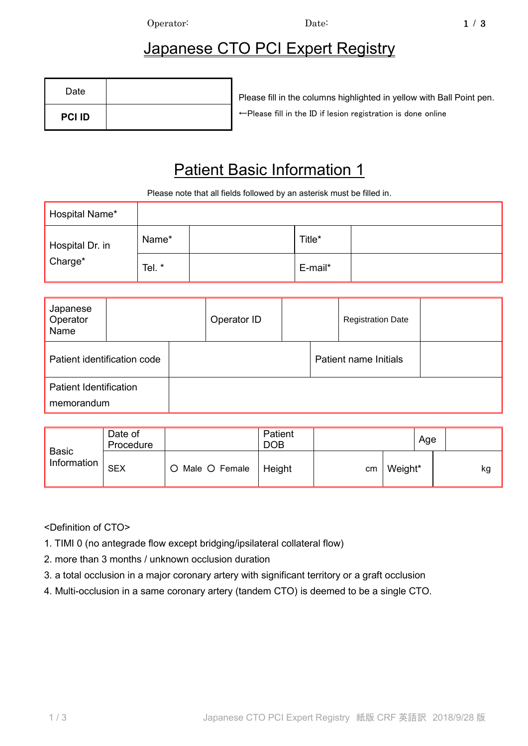Operator: Date: 1 / 3

## Japanese CTO PCI Expert Registry

| Date          | Please fill in the columns highligh     |
|---------------|-----------------------------------------|
| <b>PCI ID</b> | ← Please fill in the ID if lesion regis |

ited in yellow with Ball Point pen. ←Please fill in the ID if lesion registration is done online

## Patient Basic Information 1

Please note that all fields followed by an asterisk must be filled in.

| Hospital Name*  |       |         |  |
|-----------------|-------|---------|--|
| Hospital Dr. in | Name* | Title*  |  |
| Charge*         | Tel.* | E-mail* |  |

| Japanese<br>Operator<br>Name                |  |  | Operator ID |  |                              | <b>Registration Date</b> |  |
|---------------------------------------------|--|--|-------------|--|------------------------------|--------------------------|--|
| Patient identification code                 |  |  |             |  | <b>Patient name Initials</b> |                          |  |
| <b>Patient Identification</b><br>memorandum |  |  |             |  |                              |                          |  |

|                             | Date of<br>Procedure |               | Patient<br><b>DOB</b> |    |         | Age |
|-----------------------------|----------------------|---------------|-----------------------|----|---------|-----|
| <b>Basic</b><br>Information | <b>SEX</b>           | Male O Female | Height                | cm | Weight* | kg  |

<Definition of CTO>

- 1. TIMI 0 (no antegrade flow except bridging/ipsilateral collateral flow)
- 2. more than 3 months / unknown occlusion duration
- 3. a total occlusion in a major coronary artery with significant territory or a graft occlusion
- 4. Multi-occlusion in a same coronary artery (tandem CTO) is deemed to be a single CTO.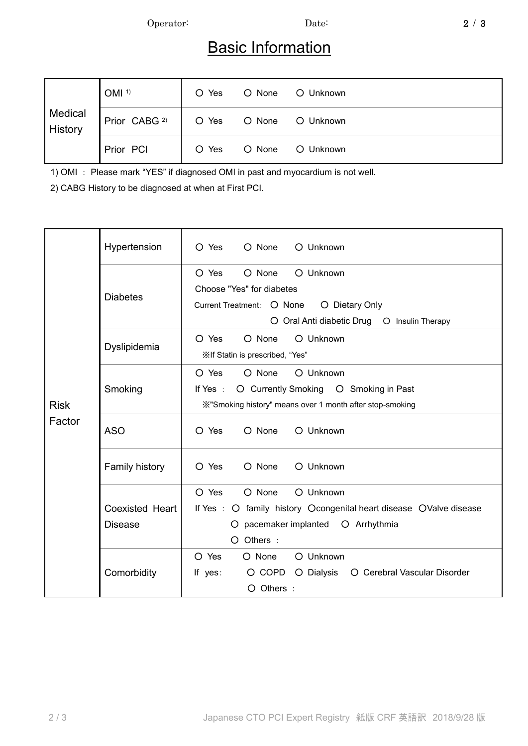Operator: Date: 2 / 3

## **Basic Information**

| Medical<br>History | OMI <sup>1</sup>         | O Yes | O None | O Unknown |
|--------------------|--------------------------|-------|--------|-----------|
|                    | Prior CABG <sup>2)</sup> | O Yes | O None | O Unknown |
|                    | Prior PCI                | O Yes | O None | O Unknown |

1) OMI : Please mark "YES" if diagnosed OMI in past and myocardium is not well.

2) CABG History to be diagnosed at when at First PCI.

|             | Hypertension                                             | O Yes<br>O None O Unknown                                          |  |  |  |  |
|-------------|----------------------------------------------------------|--------------------------------------------------------------------|--|--|--|--|
|             |                                                          | O None<br>O Unknown<br>O Yes<br>Choose "Yes" for diabetes          |  |  |  |  |
|             | <b>Diabetes</b>                                          | Current Treatment: O None<br>O Dietary Only                        |  |  |  |  |
|             |                                                          | O Oral Anti diabetic Drug O Insulin Therapy                        |  |  |  |  |
|             |                                                          | O Yes<br>O None<br>O Unknown                                       |  |  |  |  |
|             | Dyslipidemia                                             | ※If Statin is prescribed, "Yes"                                    |  |  |  |  |
|             |                                                          | O Unknown<br>O Yes<br>O None                                       |  |  |  |  |
|             | Smoking                                                  | O Currently Smoking O Smoking in Past<br>If Yes :                  |  |  |  |  |
| <b>Risk</b> | X"Smoking history" means over 1 month after stop-smoking |                                                                    |  |  |  |  |
| Factor      | <b>ASO</b>                                               | O None<br>O Unknown<br>O Yes                                       |  |  |  |  |
|             | Family history                                           | O Unknown<br>O Yes<br>$\Omega$ None                                |  |  |  |  |
|             |                                                          | O Yes<br>O None<br>O Unknown                                       |  |  |  |  |
|             | <b>Coexisted Heart</b>                                   | If Yes : O family history Ocongenital heart disease OValve disease |  |  |  |  |
|             | <b>Disease</b>                                           | pacemaker implanted  O Arrhythmia<br>O.                            |  |  |  |  |
|             |                                                          | O Others :                                                         |  |  |  |  |
|             |                                                          | O Yes<br>O Unknown<br>O None                                       |  |  |  |  |
|             | Comorbidity                                              | O Cerebral Vascular Disorder<br>O COPD<br>O Dialysis<br>If $yes:$  |  |  |  |  |
|             |                                                          | O Others :                                                         |  |  |  |  |